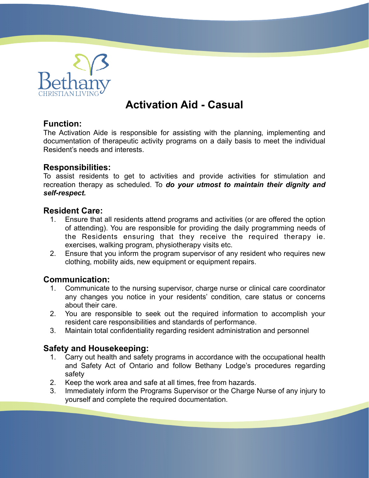

# **Activation Aid - Casual**

## **Function:**

The Activation Aide is responsible for assisting with the planning, implementing and documentation of therapeutic activity programs on a daily basis to meet the individual Resident's needs and interests.

#### **Responsibilities:**

To assist residents to get to activities and provide activities for stimulation and recreation therapy as scheduled. To *do your utmost to maintain their dignity and self-respect.*

#### **Resident Care:**

- 1. Ensure that all residents attend programs and activities (or are offered the option of attending). You are responsible for providing the daily programming needs of the Residents ensuring that they receive the required therapy ie. exercises, walking program, physiotherapy visits etc.
- 2. Ensure that you inform the program supervisor of any resident who requires new clothing, mobility aids, new equipment or equipment repairs.

### **Communication:**

- 1. Communicate to the nursing supervisor, charge nurse or clinical care coordinator any changes you notice in your residents' condition, care status or concerns about their care.
- 2. You are responsible to seek out the required information to accomplish your resident care responsibilities and standards of performance.
- 3. Maintain total confidentiality regarding resident administration and personnel

### **Safety and Housekeeping:**

- 1. Carry out health and safety programs in accordance with the occupational health and Safety Act of Ontario and follow Bethany Lodge's procedures regarding safety
- 2. Keep the work area and safe at all times, free from hazards.
- 3. Immediately inform the Programs Supervisor or the Charge Nurse of any injury to yourself and complete the required documentation.